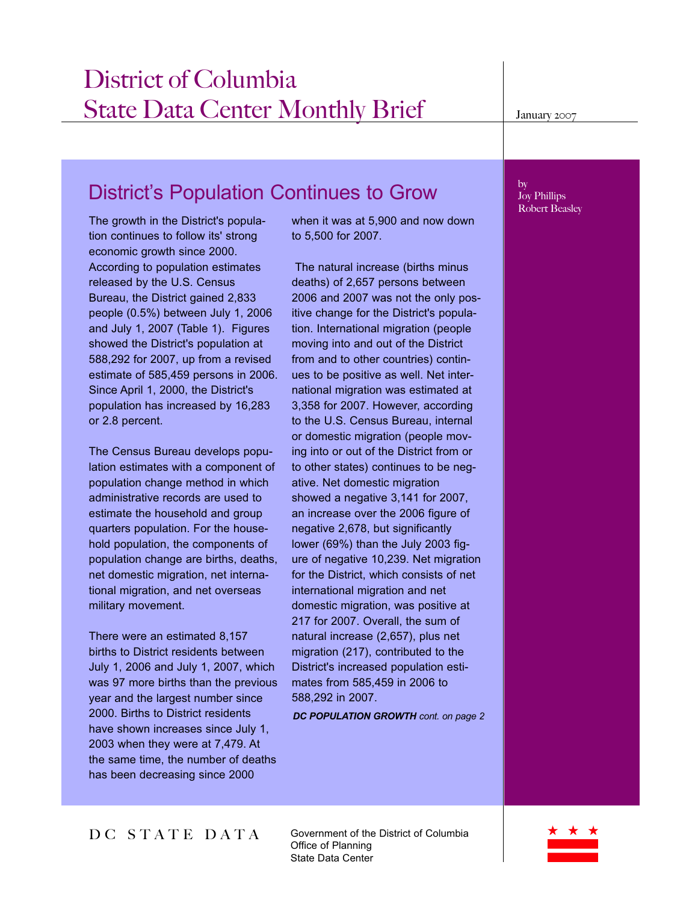## District's Population Continues to Grow

The growth in the District's population continues to follow its' strong economic growth since 2000. According to population estimates released by the U.S. Census Bureau, the District gained 2,833 people (0.5%) between July 1, 2006 and July 1, 2007 (Table 1). Figures showed the District's population at 588,292 for 2007, up from a revised estimate of 585,459 persons in 2006. Since April 1, 2000, the District's population has increased by 16,283 or 2.8 percent.

The Census Bureau develops population estimates with a component of population change method in which administrative records are used to estimate the household and group quarters population. For the household population, the components of population change are births, deaths, net domestic migration, net international migration, and net overseas military movement.

There were an estimated 8,157 births to District residents between July 1, 2006 and July 1, 2007, which was 97 more births than the previous year and the largest number since 2000. Births to District residents have shown increases since July 1, 2003 when they were at 7,479. At the same time, the number of deaths has been decreasing since 2000

when it was at 5,900 and now down to 5,500 for 2007.

The natural increase (births minus deaths) of 2,657 persons between 2006 and 2007 was not the only positive change for the District's population. International migration (people moving into and out of the District from and to other countries) continues to be positive as well. Net international migration was estimated at 3,358 for 2007. However, according to the U.S. Census Bureau, internal or domestic migration (people moving into or out of the District from or to other states) continues to be negative. Net domestic migration showed a negative 3,141 for 2007, an increase over the 2006 figure of negative 2,678, but significantly lower (69%) than the July 2003 figure of negative 10,239. Net migration for the District, which consists of net international migration and net domestic migration, was positive at 217 for 2007. Overall, the sum of natural increase (2,657), plus net migration (217), contributed to the District's increased population estimates from 585,459 in 2006 to 588,292 in 2007.

**DC POPULATION GROWTH** cont. on page 2

## by Joy Phillips Robert Beasley

DC STATE DATA

Government of the District of Columbia Office of Planning State Data Center